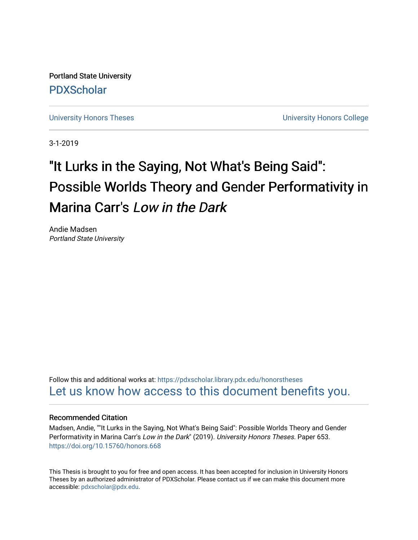Portland State University [PDXScholar](https://pdxscholar.library.pdx.edu/)

[University Honors Theses](https://pdxscholar.library.pdx.edu/honorstheses) **University Honors College** 

3-1-2019

# "It Lurks in the Saying, Not What's Being Said": Possible Worlds Theory and Gender Performativity in Marina Carr's Low in the Dark

Andie Madsen Portland State University

Follow this and additional works at: [https://pdxscholar.library.pdx.edu/honorstheses](https://pdxscholar.library.pdx.edu/honorstheses?utm_source=pdxscholar.library.pdx.edu%2Fhonorstheses%2F653&utm_medium=PDF&utm_campaign=PDFCoverPages)  [Let us know how access to this document benefits you.](http://library.pdx.edu/services/pdxscholar-services/pdxscholar-feedback/) 

### Recommended Citation

Madsen, Andie, ""It Lurks in the Saying, Not What's Being Said": Possible Worlds Theory and Gender Performativity in Marina Carr's Low in the Dark" (2019). University Honors Theses. Paper 653. <https://doi.org/10.15760/honors.668>

This Thesis is brought to you for free and open access. It has been accepted for inclusion in University Honors Theses by an authorized administrator of PDXScholar. Please contact us if we can make this document more accessible: [pdxscholar@pdx.edu.](mailto:pdxscholar@pdx.edu)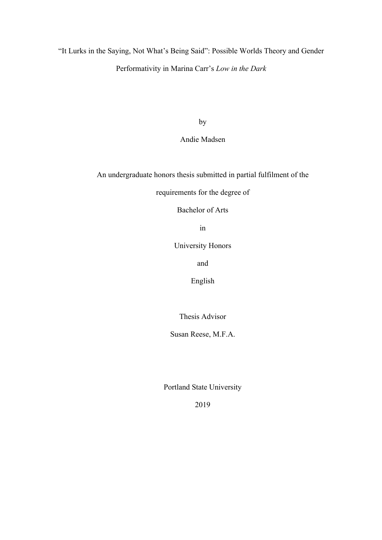"It Lurks in the Saying, Not What's Being Said": Possible Worlds Theory and Gender Performativity in Marina Carr's *Low in the Dark*

by

Andie Madsen

An undergraduate honors thesis submitted in partial fulfilment of the

requirements for the degree of

Bachelor of Arts

in

University Honors

and

English

Thesis Advisor

Susan Reese, M.F.A.

Portland State University

2019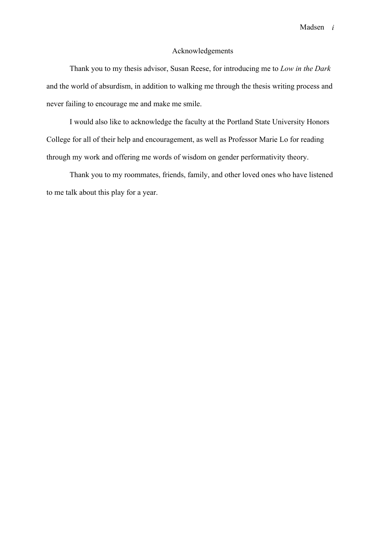Madsen *i*

## Acknowledgements

Thank you to my thesis advisor, Susan Reese, for introducing me to *Low in the Dark*  and the world of absurdism, in addition to walking me through the thesis writing process and never failing to encourage me and make me smile.

I would also like to acknowledge the faculty at the Portland State University Honors College for all of their help and encouragement, as well as Professor Marie Lo for reading through my work and offering me words of wisdom on gender performativity theory.

Thank you to my roommates, friends, family, and other loved ones who have listened to me talk about this play for a year.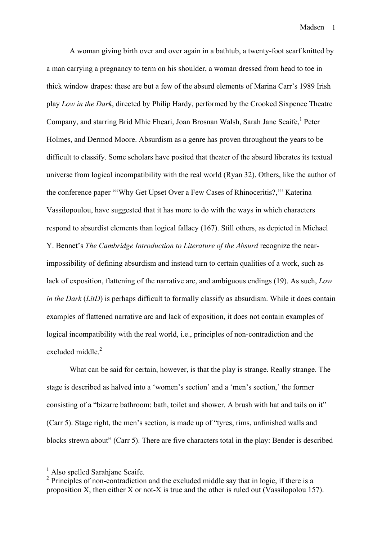A woman giving birth over and over again in a bathtub, a twenty-foot scarf knitted by a man carrying a pregnancy to term on his shoulder, a woman dressed from head to toe in thick window drapes: these are but a few of the absurd elements of Marina Carr's 1989 Irish play *Low in the Dark*, directed by Philip Hardy, performed by the Crooked Sixpence Theatre Company, and starring Brid Mhic Fheari, Joan Brosnan Walsh, Sarah Jane Scaife, <sup>1</sup> Peter Holmes, and Dermod Moore. Absurdism as a genre has proven throughout the years to be difficult to classify. Some scholars have posited that theater of the absurd liberates its textual universe from logical incompatibility with the real world (Ryan 32). Others, like the author of the conference paper "'Why Get Upset Over a Few Cases of Rhinoceritis?,'" Katerina Vassilopoulou, have suggested that it has more to do with the ways in which characters respond to absurdist elements than logical fallacy (167). Still others, as depicted in Michael Y. Bennet's *The Cambridge Introduction to Literature of the Absurd* recognize the nearimpossibility of defining absurdism and instead turn to certain qualities of a work, such as lack of exposition, flattening of the narrative arc, and ambiguous endings (19). As such, *Low in the Dark* (*LitD*) is perhaps difficult to formally classify as absurdism. While it does contain examples of flattened narrative arc and lack of exposition, it does not contain examples of logical incompatibility with the real world, i.e., principles of non-contradiction and the excluded middle.<sup>2</sup>

What can be said for certain, however, is that the play is strange. Really strange. The stage is described as halved into a 'women's section' and a 'men's section,' the former consisting of a "bizarre bathroom: bath, toilet and shower. A brush with hat and tails on it" (Carr 5). Stage right, the men's section, is made up of "tyres, rims, unfinished walls and blocks strewn about" (Carr 5). There are five characters total in the play: Bender is described

 $<sup>1</sup>$  Also spelled Sarahjane Scaife.</sup>

 $2$  Principles of non-contradiction and the excluded middle say that in logic, if there is a proposition X, then either X or not-X is true and the other is ruled out (Vassilopolou 157).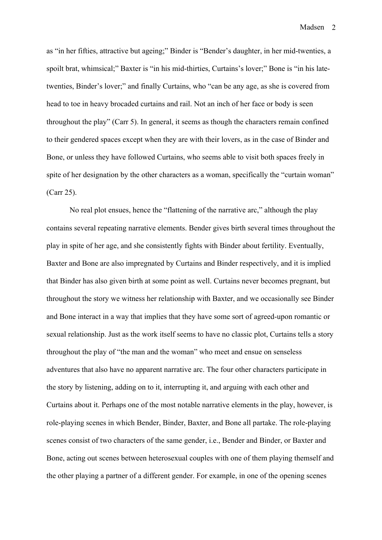as "in her fifties, attractive but ageing;" Binder is "Bender's daughter, in her mid-twenties, a spoilt brat, whimsical;" Baxter is "in his mid-thirties, Curtains's lover;" Bone is "in his latetwenties, Binder's lover;" and finally Curtains, who "can be any age, as she is covered from head to toe in heavy brocaded curtains and rail. Not an inch of her face or body is seen throughout the play" (Carr 5). In general, it seems as though the characters remain confined to their gendered spaces except when they are with their lovers, as in the case of Binder and Bone, or unless they have followed Curtains, who seems able to visit both spaces freely in spite of her designation by the other characters as a woman, specifically the "curtain woman" (Carr 25).

No real plot ensues, hence the "flattening of the narrative arc," although the play contains several repeating narrative elements. Bender gives birth several times throughout the play in spite of her age, and she consistently fights with Binder about fertility. Eventually, Baxter and Bone are also impregnated by Curtains and Binder respectively, and it is implied that Binder has also given birth at some point as well. Curtains never becomes pregnant, but throughout the story we witness her relationship with Baxter, and we occasionally see Binder and Bone interact in a way that implies that they have some sort of agreed-upon romantic or sexual relationship. Just as the work itself seems to have no classic plot, Curtains tells a story throughout the play of "the man and the woman" who meet and ensue on senseless adventures that also have no apparent narrative arc. The four other characters participate in the story by listening, adding on to it, interrupting it, and arguing with each other and Curtains about it. Perhaps one of the most notable narrative elements in the play, however, is role-playing scenes in which Bender, Binder, Baxter, and Bone all partake. The role-playing scenes consist of two characters of the same gender, i.e., Bender and Binder, or Baxter and Bone, acting out scenes between heterosexual couples with one of them playing themself and the other playing a partner of a different gender. For example, in one of the opening scenes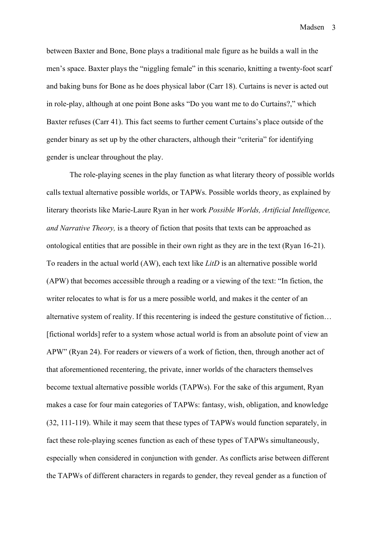between Baxter and Bone, Bone plays a traditional male figure as he builds a wall in the men's space. Baxter plays the "niggling female" in this scenario, knitting a twenty-foot scarf and baking buns for Bone as he does physical labor (Carr 18). Curtains is never is acted out in role-play, although at one point Bone asks "Do you want me to do Curtains?," which Baxter refuses (Carr 41). This fact seems to further cement Curtains's place outside of the gender binary as set up by the other characters, although their "criteria" for identifying gender is unclear throughout the play.

The role-playing scenes in the play function as what literary theory of possible worlds calls textual alternative possible worlds, or TAPWs. Possible worlds theory, as explained by literary theorists like Marie-Laure Ryan in her work *Possible Worlds, Artificial Intelligence, and Narrative Theory,* is a theory of fiction that posits that texts can be approached as ontological entities that are possible in their own right as they are in the text (Ryan 16-21). To readers in the actual world (AW), each text like *LitD* is an alternative possible world (APW) that becomes accessible through a reading or a viewing of the text: "In fiction, the writer relocates to what is for us a mere possible world, and makes it the center of an alternative system of reality. If this recentering is indeed the gesture constitutive of fiction… [fictional worlds] refer to a system whose actual world is from an absolute point of view an APW" (Ryan 24). For readers or viewers of a work of fiction, then, through another act of that aforementioned recentering, the private, inner worlds of the characters themselves become textual alternative possible worlds (TAPWs). For the sake of this argument, Ryan makes a case for four main categories of TAPWs: fantasy, wish, obligation, and knowledge (32, 111-119). While it may seem that these types of TAPWs would function separately, in fact these role-playing scenes function as each of these types of TAPWs simultaneously, especially when considered in conjunction with gender. As conflicts arise between different the TAPWs of different characters in regards to gender, they reveal gender as a function of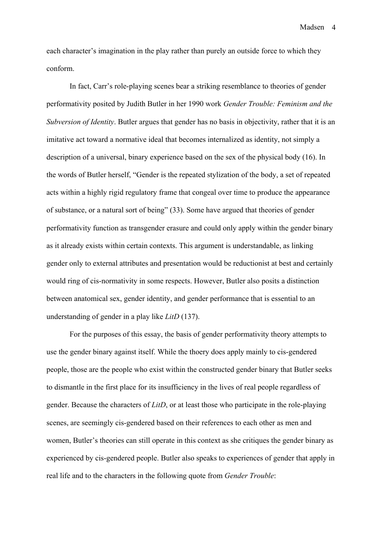each character's imagination in the play rather than purely an outside force to which they conform.

In fact, Carr's role-playing scenes bear a striking resemblance to theories of gender performativity posited by Judith Butler in her 1990 work *Gender Trouble: Feminism and the Subversion of Identity*. Butler argues that gender has no basis in objectivity, rather that it is an imitative act toward a normative ideal that becomes internalized as identity, not simply a description of a universal, binary experience based on the sex of the physical body (16). In the words of Butler herself, "Gender is the repeated stylization of the body, a set of repeated acts within a highly rigid regulatory frame that congeal over time to produce the appearance of substance, or a natural sort of being" (33). Some have argued that theories of gender performativity function as transgender erasure and could only apply within the gender binary as it already exists within certain contexts. This argument is understandable, as linking gender only to external attributes and presentation would be reductionist at best and certainly would ring of cis-normativity in some respects. However, Butler also posits a distinction between anatomical sex, gender identity, and gender performance that is essential to an understanding of gender in a play like *LitD* (137).

For the purposes of this essay, the basis of gender performativity theory attempts to use the gender binary against itself. While the thoery does apply mainly to cis-gendered people, those are the people who exist within the constructed gender binary that Butler seeks to dismantle in the first place for its insufficiency in the lives of real people regardless of gender. Because the characters of *LitD*, or at least those who participate in the role-playing scenes, are seemingly cis-gendered based on their references to each other as men and women, Butler's theories can still operate in this context as she critiques the gender binary as experienced by cis-gendered people. Butler also speaks to experiences of gender that apply in real life and to the characters in the following quote from *Gender Trouble*:

Madsen 4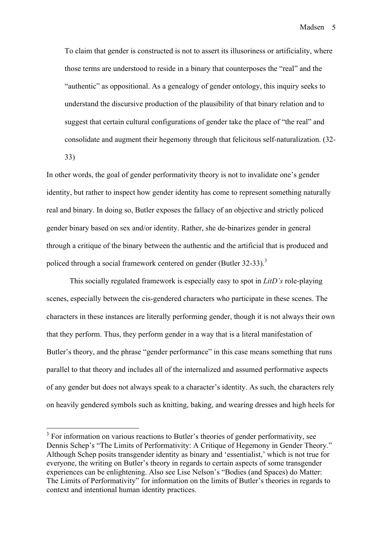To claim that gender is constructed is not to assert its illusoriness or artificiality, where those terms are understood to reside in a binary that counterposes the "real" and the "authentic" as oppositional. As a genealogy of gender ontology, this inquiry seeks to understand the discursive production of the plausibility of that binary relation and to suggest that certain cultural configurations of gender take the place of "the real" and consolidate and augment their hegemony through that felicitous self-naturalization. (32-

33)

In other words, the goal of gender performativity theory is not to invalidate one's gender identity, but rather to inspect how gender identity has come to represent something naturally real and binary. In doing so, Butler exposes the fallacy of an objective and strictly policed gender binary based on sex and/or identity. Rather, she de-binarizes gender in general through a critique of the binary between the authentic and the artificial that is produced and policed through a social framework centered on gender (Butler 32-33).<sup>3</sup>

This socially regulated framework is especially easy to spot in *LitD's* role-playing scenes, especially between the cis-gendered characters who participate in these scenes. The characters in these instances are literally performing gender, though it is not always their own that they perform. Thus, they perform gender in a way that is a literal manifestation of Butler's theory, and the phrase "gender performance" in this case means something that runs parallel to that theory and includes all of the internalized and assumed performative aspects of any gender but does not always speak to a character's identity. As such, the characters rely on heavily gendered symbols such as knitting, baking, and wearing dresses and high heels for

 $3$  For information on various reactions to Butler's theories of gender performativity, see Dennis Schep's "The Limits of Performativity: A Critique of Hegemony in Gender Theory." Although Schep posits transgender identity as binary and 'essentialist,' which is not true for everyone, the writing on Butler's theory in regards to certain aspects of some transgender experiences can be enlightening. Also see Lise Nelson's "Bodies (and Spaces) do Matter: The Limits of Performativity" for information on the limits of Butler's theories in regards to context and intentional human identity practices.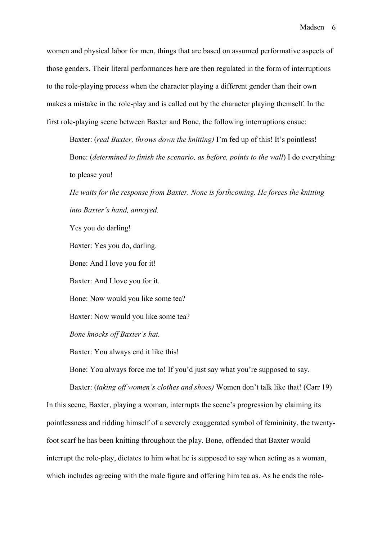women and physical labor for men, things that are based on assumed performative aspects of those genders. Their literal performances here are then regulated in the form of interruptions to the role-playing process when the character playing a different gender than their own makes a mistake in the role-play and is called out by the character playing themself. In the first role-playing scene between Baxter and Bone, the following interruptions ensue:

Baxter: (*real Baxter, throws down the knitting)* I'm fed up of this! It's pointless! Bone: (*determined to finish the scenario, as before, points to the wall*) I do everything to please you!

*He waits for the response from Baxter. None is forthcoming. He forces the knitting into Baxter's hand, annoyed.* 

Yes you do darling!

Baxter: Yes you do, darling.

Bone: And I love you for it!

Baxter: And I love you for it.

Bone: Now would you like some tea?

Baxter: Now would you like some tea?

*Bone knocks off Baxter's hat.*

Baxter: You always end it like this!

Bone: You always force me to! If you'd just say what you're supposed to say.

Baxter: (*taking off women's clothes and shoes)* Women don't talk like that! (Carr 19) In this scene, Baxter, playing a woman, interrupts the scene's progression by claiming its pointlessness and ridding himself of a severely exaggerated symbol of femininity, the twentyfoot scarf he has been knitting throughout the play. Bone, offended that Baxter would interrupt the role-play, dictates to him what he is supposed to say when acting as a woman, which includes agreeing with the male figure and offering him tea as. As he ends the role-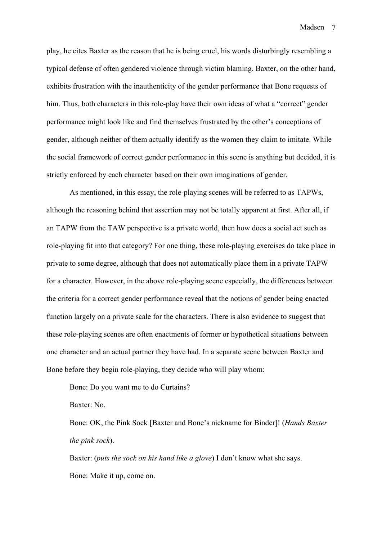play, he cites Baxter as the reason that he is being cruel, his words disturbingly resembling a typical defense of often gendered violence through victim blaming. Baxter, on the other hand, exhibits frustration with the inauthenticity of the gender performance that Bone requests of him. Thus, both characters in this role-play have their own ideas of what a "correct" gender performance might look like and find themselves frustrated by the other's conceptions of gender, although neither of them actually identify as the women they claim to imitate. While the social framework of correct gender performance in this scene is anything but decided, it is strictly enforced by each character based on their own imaginations of gender.

As mentioned, in this essay, the role-playing scenes will be referred to as TAPWs, although the reasoning behind that assertion may not be totally apparent at first. After all, if an TAPW from the TAW perspective is a private world, then how does a social act such as role-playing fit into that category? For one thing, these role-playing exercises do take place in private to some degree, although that does not automatically place them in a private TAPW for a character. However, in the above role-playing scene especially, the differences between the criteria for a correct gender performance reveal that the notions of gender being enacted function largely on a private scale for the characters. There is also evidence to suggest that these role-playing scenes are often enactments of former or hypothetical situations between one character and an actual partner they have had. In a separate scene between Baxter and Bone before they begin role-playing, they decide who will play whom:

Bone: Do you want me to do Curtains?

Baxter: No.

Bone: OK, the Pink Sock [Baxter and Bone's nickname for Binder]! (*Hands Baxter the pink sock*).

Baxter: (*puts the sock on his hand like a glove*) I don't know what she says. Bone: Make it up, come on.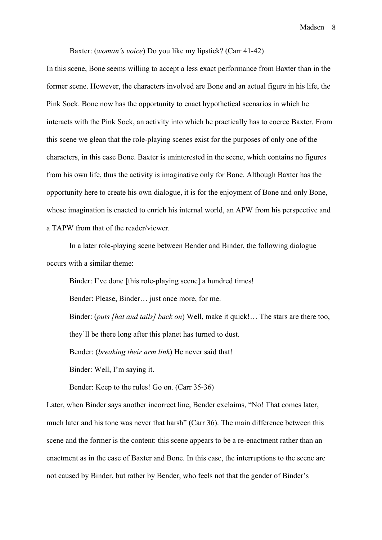Baxter: (*woman's voice*) Do you like my lipstick? (Carr 41-42)

In this scene, Bone seems willing to accept a less exact performance from Baxter than in the former scene. However, the characters involved are Bone and an actual figure in his life, the Pink Sock. Bone now has the opportunity to enact hypothetical scenarios in which he interacts with the Pink Sock, an activity into which he practically has to coerce Baxter. From this scene we glean that the role-playing scenes exist for the purposes of only one of the characters, in this case Bone. Baxter is uninterested in the scene, which contains no figures from his own life, thus the activity is imaginative only for Bone. Although Baxter has the opportunity here to create his own dialogue, it is for the enjoyment of Bone and only Bone, whose imagination is enacted to enrich his internal world, an APW from his perspective and a TAPW from that of the reader/viewer.

In a later role-playing scene between Bender and Binder, the following dialogue occurs with a similar theme:

Binder: I've done [this role-playing scene] a hundred times!

Bender: Please, Binder… just once more, for me.

Binder: (*puts [hat and tails] back on*) Well, make it quick!… The stars are there too,

they'll be there long after this planet has turned to dust.

Bender: (*breaking their arm link*) He never said that!

Binder: Well, I'm saying it.

Bender: Keep to the rules! Go on. (Carr 35-36)

Later, when Binder says another incorrect line, Bender exclaims, "No! That comes later, much later and his tone was never that harsh" (Carr 36). The main difference between this scene and the former is the content: this scene appears to be a re-enactment rather than an enactment as in the case of Baxter and Bone. In this case, the interruptions to the scene are not caused by Binder, but rather by Bender, who feels not that the gender of Binder's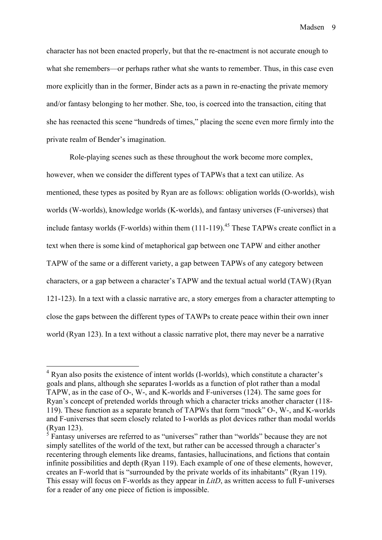character has not been enacted properly, but that the re-enactment is not accurate enough to what she remembers—or perhaps rather what she wants to remember. Thus, in this case even more explicitly than in the former, Binder acts as a pawn in re-enacting the private memory and/or fantasy belonging to her mother. She, too, is coerced into the transaction, citing that she has reenacted this scene "hundreds of times," placing the scene even more firmly into the private realm of Bender's imagination.

Role-playing scenes such as these throughout the work become more complex, however, when we consider the different types of TAPWs that a text can utilize. As mentioned, these types as posited by Ryan are as follows: obligation worlds (O-worlds), wish worlds (W-worlds), knowledge worlds (K-worlds), and fantasy universes (F-universes) that include fantasy worlds (F-worlds) within them  $(111-119)$ .<sup>45</sup> These TAPWs create conflict in a text when there is some kind of metaphorical gap between one TAPW and either another TAPW of the same or a different variety, a gap between TAPWs of any category between characters, or a gap between a character's TAPW and the textual actual world (TAW) (Ryan 121-123). In a text with a classic narrative arc, a story emerges from a character attempting to close the gaps between the different types of TAWPs to create peace within their own inner world (Ryan 123). In a text without a classic narrative plot, there may never be a narrative

 <sup>4</sup> Ryan also posits the existence of intent worlds (I-worlds), which constitute a character's goals and plans, although she separates I-worlds as a function of plot rather than a modal TAPW, as in the case of O-, W-, and K-worlds and F-universes (124). The same goes for Ryan's concept of pretended worlds through which a character tricks another character (118- 119). These function as a separate branch of TAPWs that form "mock" O-, W-, and K-worlds and F-universes that seem closely related to I-worlds as plot devices rather than modal worlds (Ryan 123).

 $\frac{3}{5}$  Fantasy universes are referred to as "universes" rather than "worlds" because they are not simply satellites of the world of the text, but rather can be accessed through a character's recentering through elements like dreams, fantasies, hallucinations, and fictions that contain infinite possibilities and depth (Ryan 119). Each example of one of these elements, however, creates an F-world that is "surrounded by the private worlds of its inhabitants" (Ryan 119). This essay will focus on F-worlds as they appear in *LitD*, as written access to full F-universes for a reader of any one piece of fiction is impossible.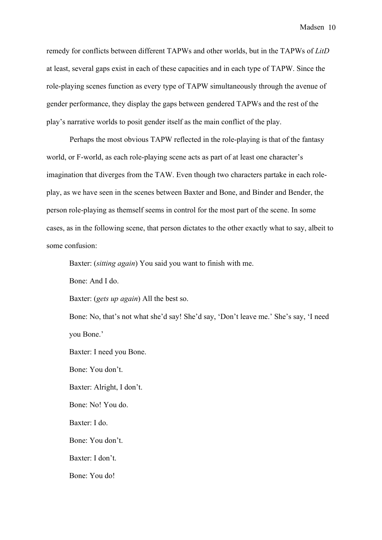remedy for conflicts between different TAPWs and other worlds, but in the TAPWs of *LitD*  at least, several gaps exist in each of these capacities and in each type of TAPW. Since the role-playing scenes function as every type of TAPW simultaneously through the avenue of gender performance, they display the gaps between gendered TAPWs and the rest of the play's narrative worlds to posit gender itself as the main conflict of the play.

Perhaps the most obvious TAPW reflected in the role-playing is that of the fantasy world, or F-world, as each role-playing scene acts as part of at least one character's imagination that diverges from the TAW. Even though two characters partake in each roleplay, as we have seen in the scenes between Baxter and Bone, and Binder and Bender, the person role-playing as themself seems in control for the most part of the scene. In some cases, as in the following scene, that person dictates to the other exactly what to say, albeit to some confusion:

Baxter: (*sitting again*) You said you want to finish with me.

Bone: And I do.

Baxter: (*gets up again*) All the best so.

Bone: No, that's not what she'd say! She'd say, 'Don't leave me.' She's say, 'I need you Bone.'

Baxter: I need you Bone.

Bone: You don't.

Baxter: Alright, I don't.

Bone: No! You do.

Baxter: I do.

Bone: You don't.

Baxter: I don't.

Bone: You do!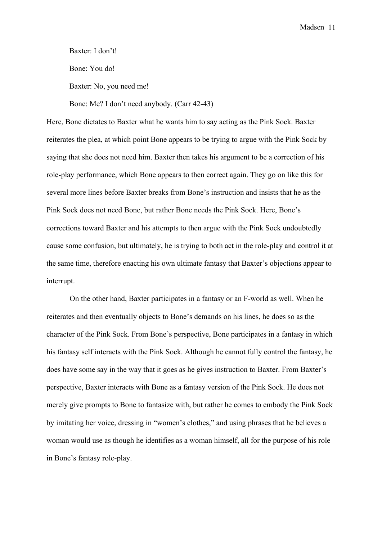Baxter: I don't!

Bone: You do!

Baxter: No, you need me!

Bone: Me? I don't need anybody. (Carr 42-43)

Here, Bone dictates to Baxter what he wants him to say acting as the Pink Sock. Baxter reiterates the plea, at which point Bone appears to be trying to argue with the Pink Sock by saying that she does not need him. Baxter then takes his argument to be a correction of his role-play performance, which Bone appears to then correct again. They go on like this for several more lines before Baxter breaks from Bone's instruction and insists that he as the Pink Sock does not need Bone, but rather Bone needs the Pink Sock. Here, Bone's corrections toward Baxter and his attempts to then argue with the Pink Sock undoubtedly cause some confusion, but ultimately, he is trying to both act in the role-play and control it at the same time, therefore enacting his own ultimate fantasy that Baxter's objections appear to interrupt.

On the other hand, Baxter participates in a fantasy or an F-world as well. When he reiterates and then eventually objects to Bone's demands on his lines, he does so as the character of the Pink Sock. From Bone's perspective, Bone participates in a fantasy in which his fantasy self interacts with the Pink Sock. Although he cannot fully control the fantasy, he does have some say in the way that it goes as he gives instruction to Baxter. From Baxter's perspective, Baxter interacts with Bone as a fantasy version of the Pink Sock. He does not merely give prompts to Bone to fantasize with, but rather he comes to embody the Pink Sock by imitating her voice, dressing in "women's clothes," and using phrases that he believes a woman would use as though he identifies as a woman himself, all for the purpose of his role in Bone's fantasy role-play.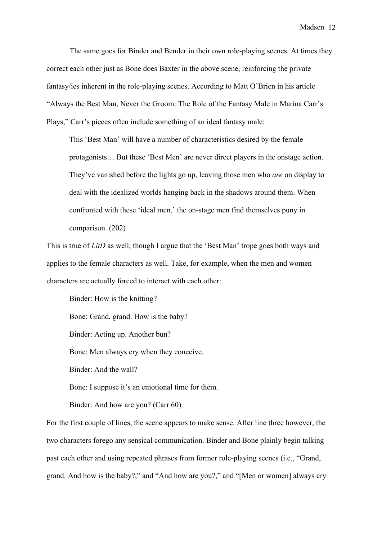The same goes for Binder and Bender in their own role-playing scenes. At times they correct each other just as Bone does Baxter in the above scene, reinforcing the private fantasy/ies inherent in the role-playing scenes. According to Matt O'Brien in his article "Always the Best Man, Never the Groom: The Role of the Fantasy Male in Marina Carr's Plays," Carr's pieces often include something of an ideal fantasy male:

This 'Best Man' will have a number of characteristics desired by the female protagonists… But these 'Best Men' are never direct players in the onstage action. They've vanished before the lights go up, leaving those men who *are* on display to deal with the idealized worlds hanging back in the shadows around them. When confronted with these 'ideal men,' the on-stage men find themselves puny in comparison. (202)

This is true of *LitD* as well, though I argue that the 'Best Man' trope goes both ways and applies to the female characters as well. Take, for example, when the men and women characters are actually forced to interact with each other:

Binder: How is the knitting? Bone: Grand, grand. How is the baby? Binder: Acting up. Another bun? Bone: Men always cry when they conceive. Binder: And the wall? Bone: I suppose it's an emotional time for them. Binder: And how are you? (Carr 60)

For the first couple of lines, the scene appears to make sense. After line three however, the two characters forego any sensical communication. Binder and Bone plainly begin talking past each other and using repeated phrases from former role-playing scenes (i.e., "Grand, grand. And how is the baby?," and "And how are you?," and "[Men or women] always cry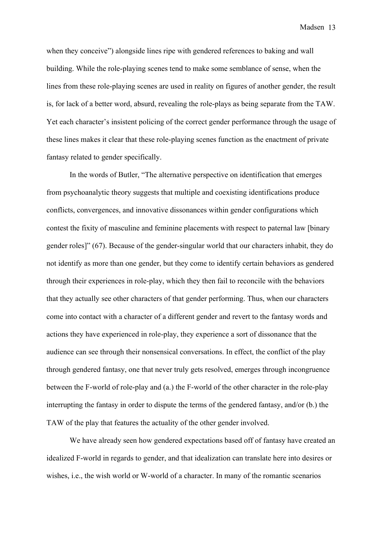when they conceive") alongside lines ripe with gendered references to baking and wall building. While the role-playing scenes tend to make some semblance of sense, when the lines from these role-playing scenes are used in reality on figures of another gender, the result is, for lack of a better word, absurd, revealing the role-plays as being separate from the TAW. Yet each character's insistent policing of the correct gender performance through the usage of these lines makes it clear that these role-playing scenes function as the enactment of private fantasy related to gender specifically.

In the words of Butler, "The alternative perspective on identification that emerges from psychoanalytic theory suggests that multiple and coexisting identifications produce conflicts, convergences, and innovative dissonances within gender configurations which contest the fixity of masculine and feminine placements with respect to paternal law [binary gender roles]" (67). Because of the gender-singular world that our characters inhabit, they do not identify as more than one gender, but they come to identify certain behaviors as gendered through their experiences in role-play, which they then fail to reconcile with the behaviors that they actually see other characters of that gender performing. Thus, when our characters come into contact with a character of a different gender and revert to the fantasy words and actions they have experienced in role-play, they experience a sort of dissonance that the audience can see through their nonsensical conversations. In effect, the conflict of the play through gendered fantasy, one that never truly gets resolved, emerges through incongruence between the F-world of role-play and (a.) the F-world of the other character in the role-play interrupting the fantasy in order to dispute the terms of the gendered fantasy, and/or (b.) the TAW of the play that features the actuality of the other gender involved.

We have already seen how gendered expectations based off of fantasy have created an idealized F-world in regards to gender, and that idealization can translate here into desires or wishes, i.e., the wish world or W-world of a character. In many of the romantic scenarios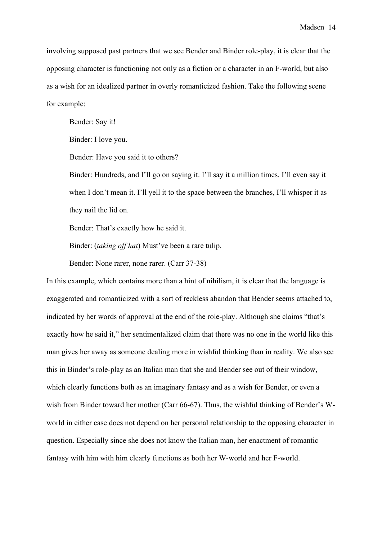involving supposed past partners that we see Bender and Binder role-play, it is clear that the opposing character is functioning not only as a fiction or a character in an F-world, but also as a wish for an idealized partner in overly romanticized fashion. Take the following scene for example:

Bender: Say it!

Binder: I love you.

Bender: Have you said it to others?

Binder: Hundreds, and I'll go on saying it. I'll say it a million times. I'll even say it when I don't mean it. I'll yell it to the space between the branches, I'll whisper it as they nail the lid on.

Bender: That's exactly how he said it.

Binder: (*taking off hat*) Must've been a rare tulip.

Bender: None rarer, none rarer. (Carr 37-38)

In this example, which contains more than a hint of nihilism, it is clear that the language is exaggerated and romanticized with a sort of reckless abandon that Bender seems attached to, indicated by her words of approval at the end of the role-play. Although she claims "that's exactly how he said it," her sentimentalized claim that there was no one in the world like this man gives her away as someone dealing more in wishful thinking than in reality. We also see this in Binder's role-play as an Italian man that she and Bender see out of their window, which clearly functions both as an imaginary fantasy and as a wish for Bender, or even a wish from Binder toward her mother (Carr 66-67). Thus, the wishful thinking of Bender's Wworld in either case does not depend on her personal relationship to the opposing character in question. Especially since she does not know the Italian man, her enactment of romantic fantasy with him with him clearly functions as both her W-world and her F-world.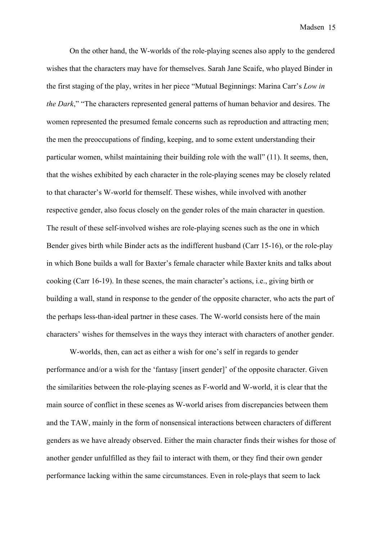On the other hand, the W-worlds of the role-playing scenes also apply to the gendered wishes that the characters may have for themselves. Sarah Jane Scaife, who played Binder in the first staging of the play, writes in her piece "Mutual Beginnings: Marina Carr's *Low in the Dark*," "The characters represented general patterns of human behavior and desires. The women represented the presumed female concerns such as reproduction and attracting men; the men the preoccupations of finding, keeping, and to some extent understanding their particular women, whilst maintaining their building role with the wall" (11). It seems, then, that the wishes exhibited by each character in the role-playing scenes may be closely related to that character's W-world for themself. These wishes, while involved with another respective gender, also focus closely on the gender roles of the main character in question. The result of these self-involved wishes are role-playing scenes such as the one in which Bender gives birth while Binder acts as the indifferent husband (Carr 15-16), or the role-play in which Bone builds a wall for Baxter's female character while Baxter knits and talks about cooking (Carr 16-19). In these scenes, the main character's actions, i.e., giving birth or building a wall, stand in response to the gender of the opposite character, who acts the part of the perhaps less-than-ideal partner in these cases. The W-world consists here of the main characters' wishes for themselves in the ways they interact with characters of another gender.

W-worlds, then, can act as either a wish for one's self in regards to gender performance and/or a wish for the 'fantasy [insert gender]' of the opposite character. Given the similarities between the role-playing scenes as F-world and W-world, it is clear that the main source of conflict in these scenes as W-world arises from discrepancies between them and the TAW, mainly in the form of nonsensical interactions between characters of different genders as we have already observed. Either the main character finds their wishes for those of another gender unfulfilled as they fail to interact with them, or they find their own gender performance lacking within the same circumstances. Even in role-plays that seem to lack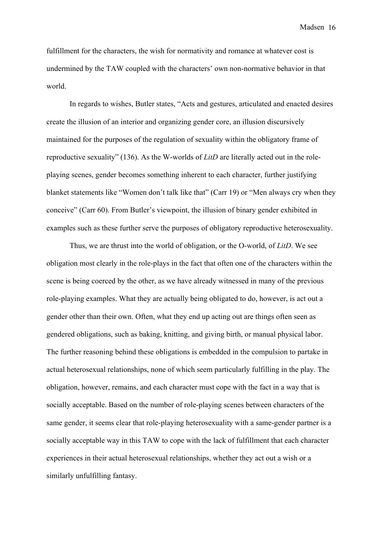fulfillment for the characters, the wish for normativity and romance at whatever cost is undermined by the TAW coupled with the characters' own non-normative behavior in that world.

In regards to wishes, Butler states, "Acts and gestures, articulated and enacted desires create the illusion of an interior and organizing gender core, an illusion discursively maintained for the purposes of the regulation of sexuality within the obligatory frame of reproductive sexuality" (136). As the W-worlds of *LitD* are literally acted out in the roleplaying scenes, gender becomes something inherent to each character, further justifying blanket statements like "Women don't talk like that" (Carr 19) or "Men always cry when they conceive" (Carr 60). From Butler's viewpoint, the illusion of binary gender exhibited in examples such as these further serve the purposes of obligatory reproductive heterosexuality.

Thus, we are thrust into the world of obligation, or the O-world, of *LitD*. We see obligation most clearly in the role-plays in the fact that often one of the characters within the scene is being coerced by the other, as we have already witnessed in many of the previous role-playing examples. What they are actually being obligated to do, however, is act out a gender other than their own. Often, what they end up acting out are things often seen as gendered obligations, such as baking, knitting, and giving birth, or manual physical labor. The further reasoning behind these obligations is embedded in the compulsion to partake in actual heterosexual relationships, none of which seem particularly fulfilling in the play. The obligation, however, remains, and each character must cope with the fact in a way that is socially acceptable. Based on the number of role-playing scenes between characters of the same gender, it seems clear that role-playing heterosexuality with a same-gender partner is a socially acceptable way in this TAW to cope with the lack of fulfillment that each character experiences in their actual heterosexual relationships, whether they act out a wish or a similarly unfulfilling fantasy.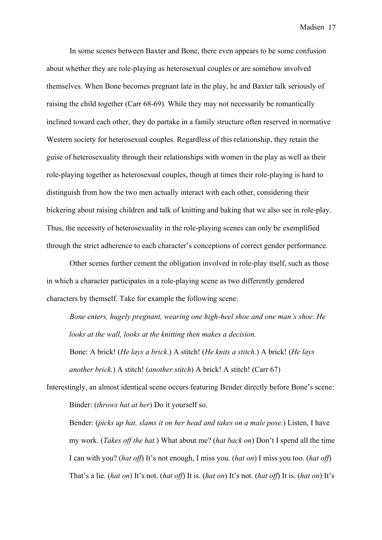In some scenes between Baxter and Bone, there even appears to be some confusion about whether they are role-playing as heterosexual couples or are somehow involved themselves. When Bone becomes pregnant late in the play, he and Baxter talk seriously of raising the child together (Carr 68-69). While they may not necessarily be romantically inclined toward each other, they do partake in a family structure often reserved in normative Western society for heterosexual couples. Regardless of this relationship, they retain the guise of heterosexuality through their relationships with women in the play as well as their role-playing together as heterosexual couples, though at times their role-playing is hard to distinguish from how the two men actually interact with each other, considering their bickering about raising children and talk of knitting and baking that we also see in role-play. Thus, the necessity of heterosexuality in the role-playing scenes can only be exemplified through the strict adherence to each character's conceptions of correct gender performance.

Other scenes further cement the obligation involved in role-play itself, such as those in which a character participates in a role-playing scene as two differently gendered characters by themself. Take for example the following scene:

*Bone enters, hugely pregnant, wearing one high-heel shoe and one man's shoe. He looks at the wall, looks at the knitting then makes a decision.* Bone: A brick! (*He lays a brick*.) A stitch! (*He knits a stitch.*) A brick! (*He lays another brick.*) A stitch! (*another stitch*) A brick! A stitch! (Carr 67)

Interestingly, an almost identical scene occurs featuring Bender directly before Bone's scene: Binder: (*throws hat at her*) Do it yourself so.

Bender: (*picks up hat, slams it on her head and takes on a male pose.*) Listen, I have my work. (*Takes off the hat.*) What about me? (*hat back on*) Don't I spend all the time I can with you? (*hat off*) It's not enough, I miss you. (*hat on*) I miss you too. (*hat off*) That's a lie. (*hat on*) It's not. (*hat off*) It is. (*hat on*) It's not. (*hat off*) It is. (*hat on*) It's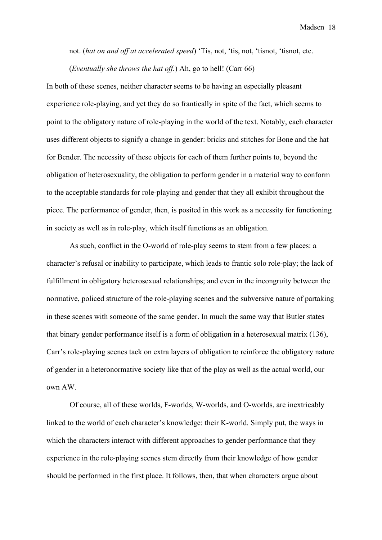not. (*hat on and off at accelerated speed*) 'Tis, not, 'tis, not, 'tisnot, 'tisnot, etc. (*Eventually she throws the hat off.*) Ah, go to hell! (Carr 66)

In both of these scenes, neither character seems to be having an especially pleasant experience role-playing, and yet they do so frantically in spite of the fact, which seems to point to the obligatory nature of role-playing in the world of the text. Notably, each character uses different objects to signify a change in gender: bricks and stitches for Bone and the hat for Bender. The necessity of these objects for each of them further points to, beyond the obligation of heterosexuality, the obligation to perform gender in a material way to conform to the acceptable standards for role-playing and gender that they all exhibit throughout the piece. The performance of gender, then, is posited in this work as a necessity for functioning in society as well as in role-play, which itself functions as an obligation.

As such, conflict in the O-world of role-play seems to stem from a few places: a character's refusal or inability to participate, which leads to frantic solo role-play; the lack of fulfillment in obligatory heterosexual relationships; and even in the incongruity between the normative, policed structure of the role-playing scenes and the subversive nature of partaking in these scenes with someone of the same gender. In much the same way that Butler states that binary gender performance itself is a form of obligation in a heterosexual matrix (136), Carr's role-playing scenes tack on extra layers of obligation to reinforce the obligatory nature of gender in a heteronormative society like that of the play as well as the actual world, our own AW.

Of course, all of these worlds, F-worlds, W-worlds, and O-worlds, are inextricably linked to the world of each character's knowledge: their K-world. Simply put, the ways in which the characters interact with different approaches to gender performance that they experience in the role-playing scenes stem directly from their knowledge of how gender should be performed in the first place. It follows, then, that when characters argue about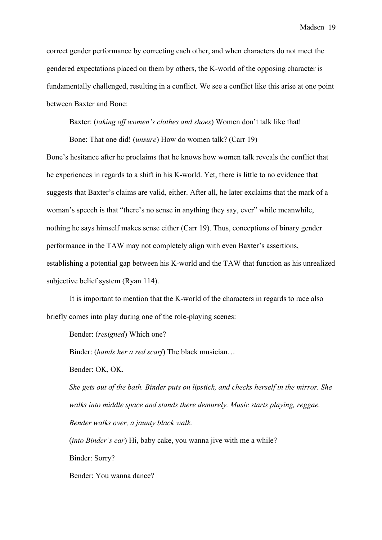correct gender performance by correcting each other, and when characters do not meet the gendered expectations placed on them by others, the K-world of the opposing character is fundamentally challenged, resulting in a conflict. We see a conflict like this arise at one point between Baxter and Bone:

Baxter: (*taking off women's clothes and shoes*) Women don't talk like that!

Bone: That one did! (*unsure*) How do women talk? (Carr 19) Bone's hesitance after he proclaims that he knows how women talk reveals the conflict that he experiences in regards to a shift in his K-world. Yet, there is little to no evidence that suggests that Baxter's claims are valid, either. After all, he later exclaims that the mark of a woman's speech is that "there's no sense in anything they say, ever" while meanwhile, nothing he says himself makes sense either (Carr 19). Thus, conceptions of binary gender performance in the TAW may not completely align with even Baxter's assertions, establishing a potential gap between his K-world and the TAW that function as his unrealized subjective belief system (Ryan 114).

It is important to mention that the K-world of the characters in regards to race also briefly comes into play during one of the role-playing scenes:

Bender: (*resigned*) Which one?

Binder: (*hands her a red scarf*) The black musician…

Bender: OK, OK.

*She gets out of the bath. Binder puts on lipstick, and checks herself in the mirror. She walks into middle space and stands there demurely. Music starts playing, reggae. Bender walks over, a jaunty black walk.* 

(*into Binder's ear*) Hi, baby cake, you wanna jive with me a while?

Binder: Sorry?

Bender: You wanna dance?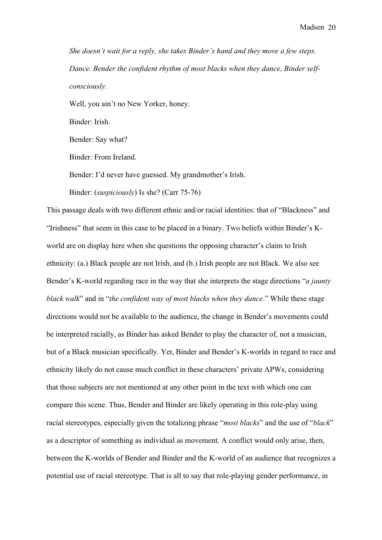*She doesn't wait for a reply, she takes Binder's hand and they move a few steps. Dance. Bender the confident rhythm of most blacks when they dance, Binder selfconsciously.*

Well, you ain't no New Yorker, honey.

Binder: Irish.

Bender: Say what?

Binder: From Ireland.

Bender: I'd never have guessed. My grandmother's Irish.

Binder: (*suspiciously*) Is she? (Carr 75-76)

This passage deals with two different ethnic and/or racial identities: that of "Blackness" and "Irishness" that seem in this case to be placed in a binary. Two beliefs within Binder's Kworld are on display here when she questions the opposing character's claim to Irish ethnicity: (a.) Black people are not Irish, and (b.) Irish people are not Black. We also see Bender's K-world regarding race in the way that she interprets the stage directions "*a jaunty black walk*" and in "*the confident way of most blacks when they dance*." While these stage directions would not be available to the audience, the change in Bender's movements could be interpreted racially, as Binder has asked Bender to play the character of, not a musician, but of a Black musician specifically. Yet, Binder and Bender's K-worlds in regard to race and ethnicity likely do not cause much conflict in these characters' private APWs, considering that those subjects are not mentioned at any other point in the text with which one can compare this scene. Thus, Bender and Binder are likely operating in this role-play using racial stereotypes, especially given the totalizing phrase "*most blacks*" and the use of "*black*" as a descriptor of something as individual as movement. A conflict would only arise, then, between the K-worlds of Bender and Binder and the K-world of an audience that recognizes a potential use of racial stereotype. That is all to say that role-playing gender performance, in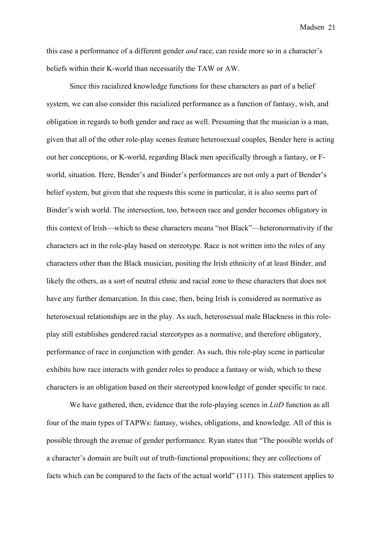this case a performance of a different gender *and* race, can reside more so in a character's beliefs within their K-world than necessarily the TAW or AW.

Since this racialized knowledge functions for these characters as part of a belief system, we can also consider this racialized performance as a function of fantasy, wish, and obligation in regards to both gender and race as well. Presuming that the musician is a man, given that all of the other role-play scenes feature heterosexual couples, Bender here is acting out her conceptions, or K-world, regarding Black men specifically through a fantasy, or Fworld, situation. Here, Bender's and Binder's performances are not only a part of Bender's belief system, but given that she requests this scene in particular, it is also seems part of Binder's wish world. The intersection, too, between race and gender becomes obligatory in this context of Irish—which to these characters means "not Black"—heteronormativity if the characters act in the role-play based on stereotype. Race is not written into the roles of any characters other than the Black musician, positing the Irish ethnicity of at least Binder, and likely the others, as a sort of neutral ethnic and racial zone to these characters that does not have any further demarcation. In this case, then, being Irish is considered as normative as heterosexual relationships are in the play. As such, heterosexual male Blackness in this roleplay still establishes gendered racial stereotypes as a normative, and therefore obligatory, performance of race in conjunction with gender. As such, this role-play scene in particular exhibits how race interacts with gender roles to produce a fantasy or wish, which to these characters is an obligation based on their stereotyped knowledge of gender specific to race.

We have gathered, then, evidence that the role-playing scenes in *LitD* function as all four of the main types of TAPWs: fantasy, wishes, obligations, and knowledge. All of this is possible through the avenue of gender performance. Ryan states that "The possible worlds of a character's domain are built out of truth-functional propositions; they are collections of facts which can be compared to the facts of the actual world" (111). This statement applies to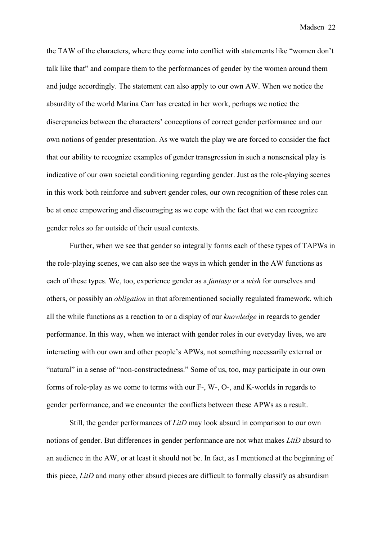the TAW of the characters, where they come into conflict with statements like "women don't talk like that" and compare them to the performances of gender by the women around them and judge accordingly. The statement can also apply to our own AW. When we notice the absurdity of the world Marina Carr has created in her work, perhaps we notice the discrepancies between the characters' conceptions of correct gender performance and our own notions of gender presentation. As we watch the play we are forced to consider the fact that our ability to recognize examples of gender transgression in such a nonsensical play is indicative of our own societal conditioning regarding gender. Just as the role-playing scenes in this work both reinforce and subvert gender roles, our own recognition of these roles can be at once empowering and discouraging as we cope with the fact that we can recognize gender roles so far outside of their usual contexts.

Further, when we see that gender so integrally forms each of these types of TAPWs in the role-playing scenes, we can also see the ways in which gender in the AW functions as each of these types. We, too, experience gender as a *fantasy* or a *wish* for ourselves and others, or possibly an *obligation* in that aforementioned socially regulated framework, which all the while functions as a reaction to or a display of our *knowledge* in regards to gender performance. In this way, when we interact with gender roles in our everyday lives, we are interacting with our own and other people's APWs, not something necessarily external or "natural" in a sense of "non-constructedness." Some of us, too, may participate in our own forms of role-play as we come to terms with our F-, W-, O-, and K-worlds in regards to gender performance, and we encounter the conflicts between these APWs as a result.

Still, the gender performances of *LitD* may look absurd in comparison to our own notions of gender. But differences in gender performance are not what makes *LitD* absurd to an audience in the AW, or at least it should not be. In fact, as I mentioned at the beginning of this piece, *LitD* and many other absurd pieces are difficult to formally classify as absurdism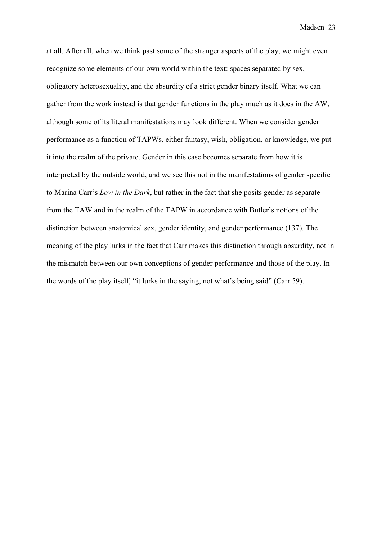at all. After all, when we think past some of the stranger aspects of the play, we might even recognize some elements of our own world within the text: spaces separated by sex, obligatory heterosexuality, and the absurdity of a strict gender binary itself. What we can gather from the work instead is that gender functions in the play much as it does in the AW, although some of its literal manifestations may look different. When we consider gender performance as a function of TAPWs, either fantasy, wish, obligation, or knowledge, we put it into the realm of the private. Gender in this case becomes separate from how it is interpreted by the outside world, and we see this not in the manifestations of gender specific to Marina Carr's *Low in the Dark*, but rather in the fact that she posits gender as separate from the TAW and in the realm of the TAPW in accordance with Butler's notions of the distinction between anatomical sex, gender identity, and gender performance (137). The meaning of the play lurks in the fact that Carr makes this distinction through absurdity, not in the mismatch between our own conceptions of gender performance and those of the play. In the words of the play itself, "it lurks in the saying, not what's being said" (Carr 59).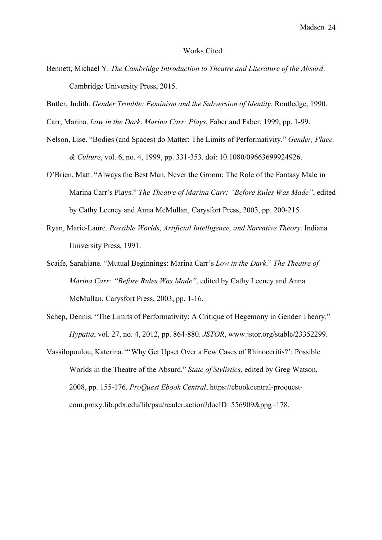#### Works Cited

- Bennett, Michael Y. *The Cambridge Introduction to Theatre and Literature of the Absurd*. Cambridge University Press, 2015.
- Butler, Judith. *Gender Trouble: Feminism and the Subversion of Identity*. Routledge, 1990.

Carr, Marina. *Low in the Dark*. *Marina Carr: Plays*, Faber and Faber, 1999, pp. 1-99.

- Nelson, Lise. "Bodies (and Spaces) do Matter: The Limits of Performativity." *Gender, Place, & Culture*, vol. 6, no. 4, 1999, pp. 331-353. doi: 10.1080/09663699924926.
- O'Brien, Matt. "Always the Best Man, Never the Groom: The Role of the Fantasy Male in Marina Carr's Plays." *The Theatre of Marina Carr: "Before Rules Was Made"*, edited by Cathy Leeney and Anna McMullan, Carysfort Press, 2003, pp. 200-215.
- Ryan, Marie-Laure. *Possible Worlds, Artificial Intelligence, and Narrative Theory*. Indiana University Press, 1991.
- Scaife, Sarahjane. "Mutual Beginnings: Marina Carr's *Low in the Dark*." *The Theatre of Marina Carr: "Before Rules Was Made"*, edited by Cathy Leeney and Anna McMullan, Carysfort Press, 2003, pp. 1-16.
- Schep, Dennis. "The Limits of Performativity: A Critique of Hegemony in Gender Theory." *Hypatia*, vol. 27, no. 4, 2012, pp. 864-880. *JSTOR*, www.jstor.org/stable/23352299.
- Vassilopoulou, Katerina. "'Why Get Upset Over a Few Cases of Rhinoceritis?': Possible Worlds in the Theatre of the Absurd." *State of Stylistics*, edited by Greg Watson, 2008, pp. 155-176. *ProQuest Ebook Central*, https://ebookcentral-proquestcom.proxy.lib.pdx.edu/lib/psu/reader.action?docID=556909&ppg=178.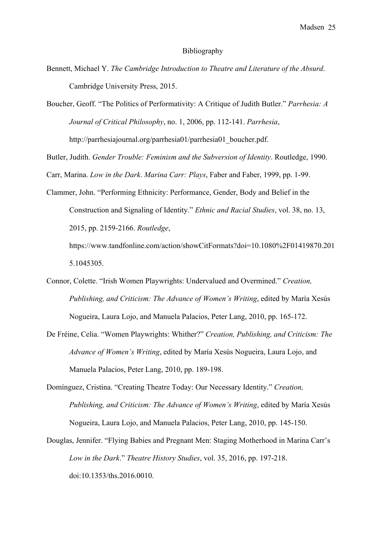#### Bibliography

Bennett, Michael Y. *The Cambridge Introduction to Theatre and Literature of the Absurd*. Cambridge University Press, 2015.

Boucher, Geoff. "The Politics of Performativity: A Critique of Judith Butler." *Parrhesia: A Journal of Critical Philosophy*, no. 1, 2006, pp. 112-141. *Parrhesia*, http://parrhesiajournal.org/parrhesia01/parrhesia01\_boucher.pdf.

Butler, Judith. *Gender Trouble: Feminism and the Subversion of Identity*. Routledge, 1990.

Carr, Marina. *Low in the Dark*. *Marina Carr: Plays*, Faber and Faber, 1999, pp. 1-99.

Clammer, John. "Performing Ethnicity: Performance, Gender, Body and Belief in the Construction and Signaling of Identity." *Ethnic and Racial Studies*, vol. 38, no. 13, 2015, pp. 2159-2166. *Routledge*,

https://www.tandfonline.com/action/showCitFormats?doi=10.1080%2F01419870.201 5.1045305.

- Connor, Colette. "Irish Women Playwrights: Undervalued and Overmined." *Creation, Publishing, and Criticism: The Advance of Women's Writing*, edited by María Xesús Nogueira, Laura Lojo, and Manuela Palacios, Peter Lang, 2010, pp. 165-172.
- De Fréine, Celia. "Women Playwrights: Whither?" *Creation, Publishing, and Criticism: The Advance of Women's Writing*, edited by María Xesús Nogueira, Laura Lojo, and Manuela Palacios, Peter Lang, 2010, pp. 189-198.
- Domínguez, Cristina. "Creating Theatre Today: Our Necessary Identity." *Creation, Publishing, and Criticism: The Advance of Women's Writing*, edited by María Xesús Nogueira, Laura Lojo, and Manuela Palacios, Peter Lang, 2010, pp. 145-150.
- Douglas, Jennifer. "Flying Babies and Pregnant Men: Staging Motherhood in Marina Carr's *Low in the Dark*." *Theatre History Studies*, vol. 35, 2016, pp. 197-218. doi:10.1353/ths.2016.0010.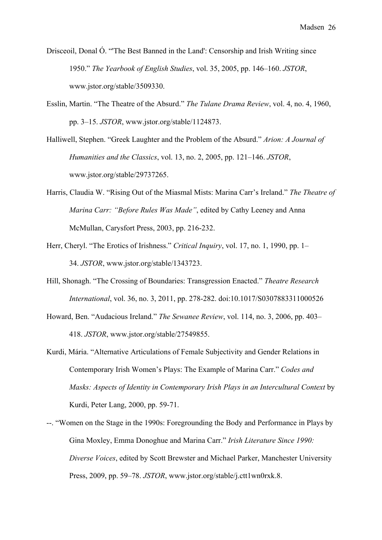Drisceoil, Donal Ó. "'The Best Banned in the Land': Censorship and Irish Writing since 1950." *The Yearbook of English Studies*, vol. 35, 2005, pp. 146–160. *JSTOR*, www.jstor.org/stable/3509330.

- Esslin, Martin. "The Theatre of the Absurd." *The Tulane Drama Review*, vol. 4, no. 4, 1960, pp. 3–15. *JSTOR*, www.jstor.org/stable/1124873.
- Halliwell, Stephen. "Greek Laughter and the Problem of the Absurd." *Arion: A Journal of Humanities and the Classics*, vol. 13, no. 2, 2005, pp. 121–146. *JSTOR*, www.jstor.org/stable/29737265.
- Harris, Claudia W. "Rising Out of the Miasmal Mists: Marina Carr's Ireland." *The Theatre of Marina Carr: "Before Rules Was Made"*, edited by Cathy Leeney and Anna McMullan, Carysfort Press, 2003, pp. 216-232.
- Herr, Cheryl. "The Erotics of Irishness." *Critical Inquiry*, vol. 17, no. 1, 1990, pp. 1– 34. *JSTOR*, www.jstor.org/stable/1343723.
- Hill, Shonagh. "The Crossing of Boundaries: Transgression Enacted." *Theatre Research International*, vol. 36, no. 3, 2011, pp. 278-282. doi:10.1017/S0307883311000526
- Howard, Ben. "Audacious Ireland." *The Sewanee Review*, vol. 114, no. 3, 2006, pp. 403– 418. *JSTOR*, www.jstor.org/stable/27549855.
- Kurdi, Mária. "Alternative Articulations of Female Subjectivity and Gender Relations in Contemporary Irish Women's Plays: The Example of Marina Carr." *Codes and Masks: Aspects of Identity in Contemporary Irish Plays in an Intercultural Context* by Kurdi, Peter Lang, 2000, pp. 59-71.
- --. "Women on the Stage in the 1990s: Foregrounding the Body and Performance in Plays by Gina Moxley, Emma Donoghue and Marina Carr." *Irish Literature Since 1990: Diverse Voices*, edited by Scott Brewster and Michael Parker, Manchester University Press, 2009, pp. 59–78. *JSTOR*, www.jstor.org/stable/j.ctt1wn0rxk.8.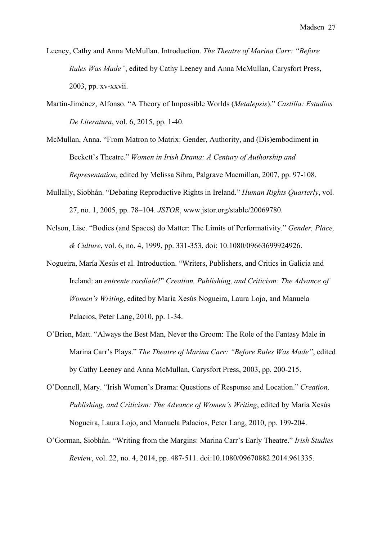Leeney, Cathy and Anna McMullan. Introduction. *The Theatre of Marina Carr: "Before Rules Was Made"*, edited by Cathy Leeney and Anna McMullan, Carysfort Press, 2003, pp. xv-xxvii.

- Martín-Jiménez, Alfonso. "A Theory of Impossible Worlds (*Metalepsis*)." *Castilla: Estudios De Literatura*, vol. 6, 2015, pp. 1-40.
- McMullan, Anna. "From Matron to Matrix: Gender, Authority, and (Dis)embodiment in Beckett's Theatre." *Women in Irish Drama: A Century of Authorship and Representation*, edited by Melissa Sihra, Palgrave Macmillan, 2007, pp. 97-108.
- Mullally, Siobhán. "Debating Reproductive Rights in Ireland." *Human Rights Quarterly*, vol. 27, no. 1, 2005, pp. 78–104. *JSTOR*, www.jstor.org/stable/20069780.
- Nelson, Lise. "Bodies (and Spaces) do Matter: The Limits of Performativity." *Gender, Place, & Culture*, vol. 6, no. 4, 1999, pp. 331-353. doi: 10.1080/09663699924926.
- Nogueira, María Xesús et al. Introduction. "Writers, Publishers, and Critics in Galicia and Ireland: an *entrente cordiale*?" *Creation, Publishing, and Criticism: The Advance of Women's Writing*, edited by María Xesús Nogueira, Laura Lojo, and Manuela Palacios, Peter Lang, 2010, pp. 1-34.
- O'Brien, Matt. "Always the Best Man, Never the Groom: The Role of the Fantasy Male in Marina Carr's Plays." *The Theatre of Marina Carr: "Before Rules Was Made"*, edited by Cathy Leeney and Anna McMullan, Carysfort Press, 2003, pp. 200-215.
- O'Donnell, Mary. "Irish Women's Drama: Questions of Response and Location." *Creation, Publishing, and Criticism: The Advance of Women's Writing*, edited by María Xesús Nogueira, Laura Lojo, and Manuela Palacios, Peter Lang, 2010, pp. 199-204.
- O'Gorman, Siobhán. "Writing from the Margins: Marina Carr's Early Theatre." *Irish Studies Review*, vol. 22, no. 4, 2014, pp. 487-511. doi:10.1080/09670882.2014.961335.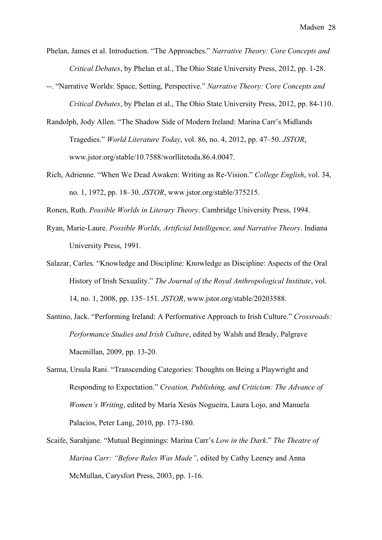Phelan, James et al. Introduction. "The Approaches." *Narrative Theory: Core Concepts and Critical Debates*, by Phelan et al., The Ohio State University Press, 2012, pp. 1-28.

- --. "Narrative Worlds: Space, Setting, Perspective." *Narrative Theory: Core Concepts and Critical Debates*, by Phelan et al., The Ohio State University Press, 2012, pp. 84-110.
- Randolph, Jody Allen. "The Shadow Side of Modern Ireland: Marina Carr's Midlands Tragedies." *World Literature Today*, vol. 86, no. 4, 2012, pp. 47–50. *JSTOR*, www.jstor.org/stable/10.7588/worllitetoda.86.4.0047.
- Rich, Adrienne. "When We Dead Awaken: Writing as Re-Vision." *College English*, vol. 34, no. 1, 1972, pp. 18–30. *JSTOR*, www.jstor.org/stable/375215.
- Ronen, Ruth. *Possible Worlds in Literary Theory*. Cambridge University Press, 1994.
- Ryan, Marie-Laure. *Possible Worlds, Artificial Intelligence, and Narrative Theory*. Indiana University Press, 1991.
- Salazar, Carles. "Knowledge and Discipline: Knowledge as Discipline: Aspects of the Oral History of Irish Sexuality." *The Journal of the Royal Anthropological Institute*, vol. 14, no. 1, 2008, pp. 135–151. *JSTOR*, www.jstor.org/stable/20203588.
- Santino, Jack. "Performing Ireland: A Performative Approach to Irish Culture." *Crossroads: Performance Studies and Irish Culture*, edited by Walsh and Brady, Palgrave Macmillan, 2009, pp. 13-20.
- Sarma, Ursula Rani. "Transcending Categories: Thoughts on Being a Playwright and Responding to Expectation." *Creation, Publishing, and Criticism: The Advance of Women's Writing*, edited by María Xesús Nogueira, Laura Lojo, and Manuela Palacios, Peter Lang, 2010, pp. 173-180.
- Scaife, Sarahjane. "Mutual Beginnings: Marina Carr's *Low in the Dark*." *The Theatre of Marina Carr: "Before Rules Was Made"*, edited by Cathy Leeney and Anna McMullan, Carysfort Press, 2003, pp. 1-16.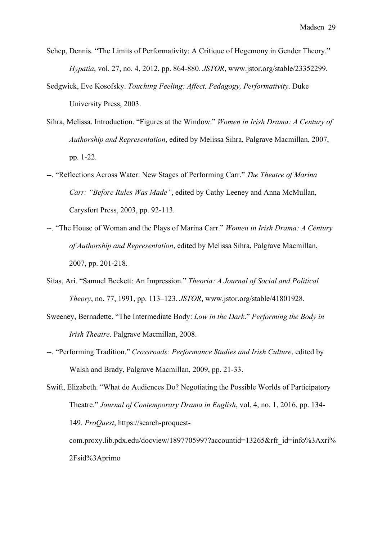- Schep, Dennis. "The Limits of Performativity: A Critique of Hegemony in Gender Theory." *Hypatia*, vol. 27, no. 4, 2012, pp. 864-880. *JSTOR*, www.jstor.org/stable/23352299.
- Sedgwick, Eve Kosofsky. *Touching Feeling: Affect, Pedagogy, Performativity*. Duke University Press, 2003.
- Sihra, Melissa. Introduction. "Figures at the Window." *Women in Irish Drama: A Century of Authorship and Representation*, edited by Melissa Sihra, Palgrave Macmillan, 2007, pp. 1-22.
- --. "Reflections Across Water: New Stages of Performing Carr." *The Theatre of Marina Carr: "Before Rules Was Made"*, edited by Cathy Leeney and Anna McMullan, Carysfort Press, 2003, pp. 92-113.
- --. "The House of Woman and the Plays of Marina Carr." *Women in Irish Drama: A Century of Authorship and Representation*, edited by Melissa Sihra, Palgrave Macmillan, 2007, pp. 201-218.
- Sitas, Ari. "Samuel Beckett: An Impression." *Theoria: A Journal of Social and Political Theory*, no. 77, 1991, pp. 113–123. *JSTOR*, www.jstor.org/stable/41801928.
- Sweeney, Bernadette. "The Intermediate Body: *Low in the Dark*." *Performing the Body in Irish Theatre*. Palgrave Macmillan, 2008.
- --. "Performing Tradition." *Crossroads: Performance Studies and Irish Culture*, edited by Walsh and Brady, Palgrave Macmillan, 2009, pp. 21-33.

Swift, Elizabeth. "What do Audiences Do? Negotiating the Possible Worlds of Participatory Theatre." *Journal of Contemporary Drama in English*, vol. 4, no. 1, 2016, pp. 134- 149. *ProQuest*, https://search-proquestcom.proxy.lib.pdx.edu/docview/1897705997?accountid=13265&rfr\_id=info%3Axri%

2Fsid%3Aprimo